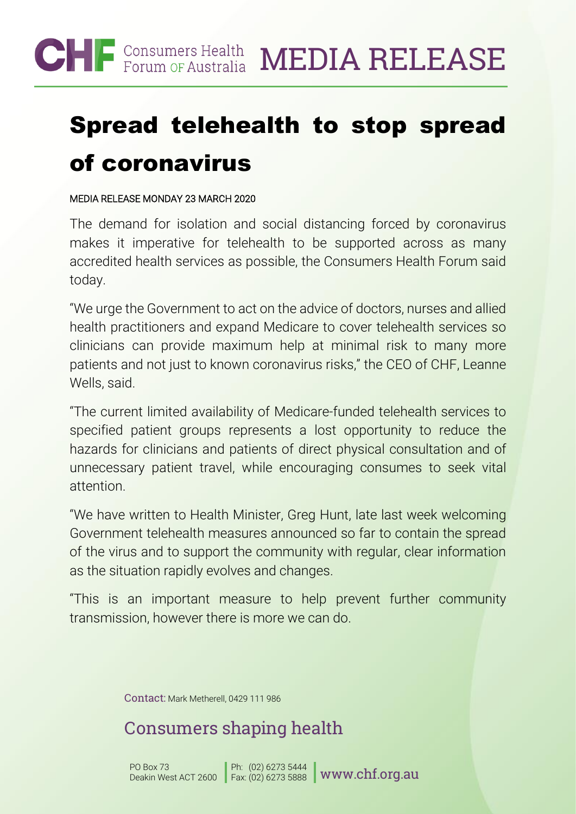

# Spread telehealth to stop spread of coronavirus

#### MEDIA RELEASE MONDAY 23 MARCH 2020

The demand for isolation and social distancing forced by coronavirus makes it imperative for telehealth to be supported across as many accredited health services as possible, the Consumers Health Forum said today.

"We urge the Government to act on the advice of doctors, nurses and allied health practitioners and expand Medicare to cover telehealth services so clinicians can provide maximum help at minimal risk to many more patients and not just to known coronavirus risks," the CEO of CHF, Leanne Wells, said.

"The current limited availability of Medicare-funded telehealth services to specified patient groups represents a lost opportunity to reduce the hazards for clinicians and patients of direct physical consultation and of unnecessary patient travel, while encouraging consumes to seek vital attention.

"We have written to Health Minister, Greg Hunt, late last week welcoming Government telehealth measures announced so far to contain the spread of the virus and to support the community with regular, clear information as the situation rapidly evolves and changes.

"This is an important measure to help prevent further community transmission, however there is more we can do.

Contact: Mark Metherell, 0429 111 986

## Consumers shaping health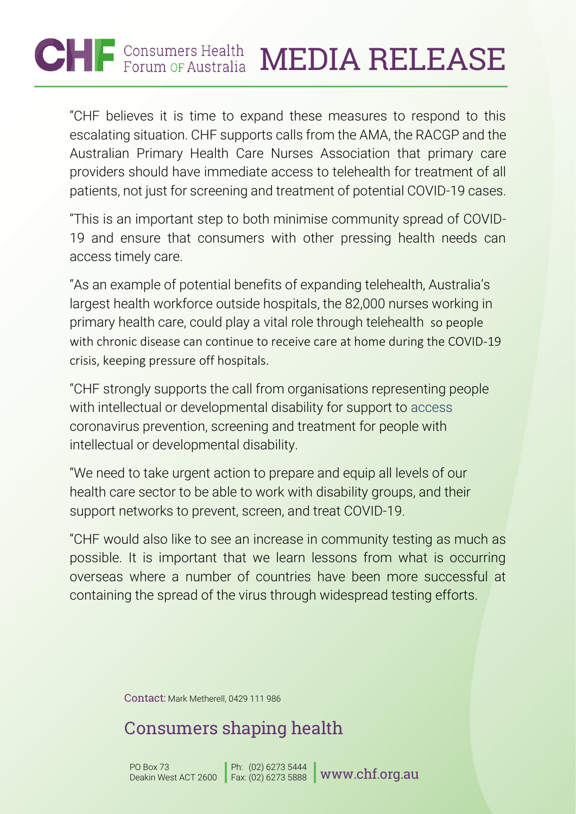# $\bigcirc$   $\bigcap$   $\bigcirc$  Consumers Health<br>Forum OF Australia MEDIA RELEASE

"CHF believes it is time to expand these measures to respond to this escalating situation. CHF supports calls from the AMA, the RACGP and the Australian Primary Health Care Nurses Association that primary care providers should have immediate access to telehealth for treatment of all patients, not just for screening and treatment of potential COVID-19 cases.

"This is an important step to both minimise community spread of COVID-19 and ensure that consumers with other pressing health needs can access timely care.

"As an example of potential benefits of expanding telehealth, Australia's largest health workforce outside hospitals, the 82,000 nurses working in primary health care, could play a vital role through telehealth so people with chronic disease can continue to receive care at home during the COVID-19 crisis, keeping pressure off hospitals.

"CHF strongly supports the call from organisations representing people with intellectual or developmental disability for support to access coronavirus prevention, screening and treatment for people with intellectual or developmental disability.

"We need to take urgent action to prepare and equip all levels of our health care sector to be able to work with disability groups, and their support networks to prevent, screen, and treat COVID-19.

"CHF would also like to see an increase in community testing as much as possible. It is important that we learn lessons from what is occurring overseas where a number of countries have been more successful at containing the spread of the virus through widespread testing efforts.

Contact: Mark Metherell, 0429 111 986

## Consumers shaping health